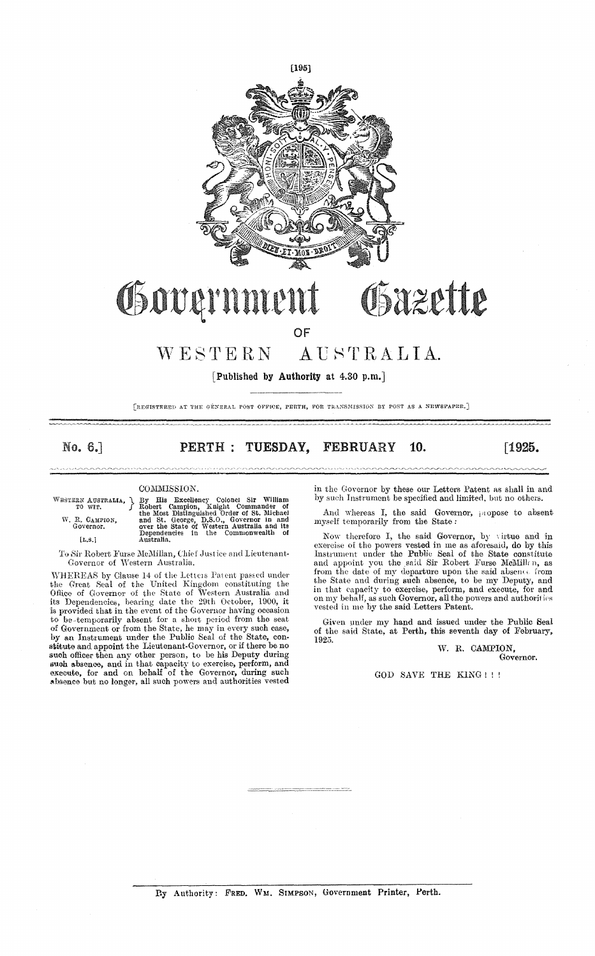

### Bazette Governmen

OF

#### WESTERN AUSTRALIA.

[Published by Authority at 4.30 p.m.]

[REGISTERED AT THE GENERAL POST OFFICE, PERTH, FOR TRANSMISSION BY POST AS A NEWSPAPER,]

No. 6.1

PERTH : TUESDAY. **FEBRUARY** 10.  $[1925]$ 

### COMMISSION.

WESTERN AUSTRALIA,  $\}$ W. R. CAMPION,<br>Governor.

 $[\mathbf{L}.\mathbf{S}.]$ 

# Sy His Excellency Colonel Sir William<br>Robert Campion, Knight Commander of<br>the Most Distinguished Order of St. Michael<br>and St. George, D.S.O., Governor in and<br>over the State of Western Australia and its<br>Dependencies in the

To Sir Robert Furse McMillan, Chief Justice and Lieutenant-Governor of Western Australia.

WHEREAS by Clause 14 of the Letters Patent passed under<br>the Great Seal of the United Kingdom constituting the<br>the Great Seal of the United Kingdom constituting the<br>Office of Governor of the State of Western Australia and<br>i of Government or from the State, he may in every such case,<br>by an Instrument under the Public Seal of the State, con-<br>statute and appoint the Lieutenant-Governor, or if there be no<br>such officer then any other person, to be in the Governor by these our Letters Patent as shall in and by such Instrument be specified and limited, but no others.

And whereas I, the said Governor, propose to absent myself temporarily from the State:

Now therefore I, the said Governor, by virtue and in Exercise of the powers vessel in me as advertior, by viruse and in<br>Instrument under the Public Seal of the State constitute<br>and appoint you the said Sir Robert Furse McMillan, as<br>from the date of my departure upon the said the State and during such absence, to be my Deputy, and in that capacity to exercise, perform, and execute, for and<br>on my behalf, as such Governor, all the powers and authorities vested in me by the said Letters Patent.

Given under my hand and issued under the Public Seal of the said State, at Perth, this seventh day of February, 1925.

W. R. CAMPION, Governor.

GOD SAVE THE KING !!!